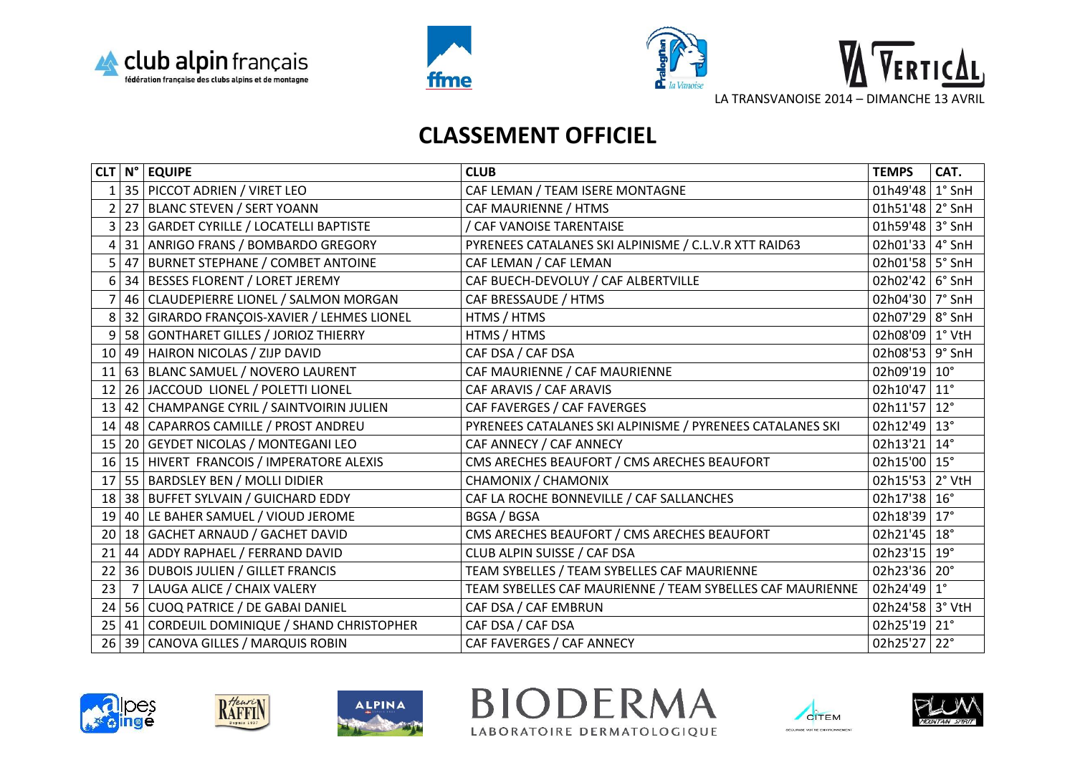





## **CLASSEMENT OFFICIEL**

|                |                | $CLT N^{\circ} $ EQUIPE                       | <b>CLUB</b>                                               | <b>TEMPS</b>          | CAT. |
|----------------|----------------|-----------------------------------------------|-----------------------------------------------------------|-----------------------|------|
|                |                | 35   PICCOT ADRIEN / VIRET LEO                | CAF LEMAN / TEAM ISERE MONTAGNE                           | 01h49'48 1° SnH       |      |
| 2              | 27             | <b>BLANC STEVEN / SERT YOANN</b>              | CAF MAURIENNE / HTMS                                      | 01h51'48 2° SnH       |      |
| $\overline{3}$ |                | 23 GARDET CYRILLE / LOCATELLI BAPTISTE        | / CAF VANOISE TARENTAISE                                  | 01h59'48 3° SnH       |      |
| 4              | 31             | ANRIGO FRANS / BOMBARDO GREGORY               | PYRENEES CATALANES SKI ALPINISME / C.L.V.R XTT RAID63     | 02h01'33 4° SnH       |      |
| 5              | 47             | <b>BURNET STEPHANE / COMBET ANTOINE</b>       | CAF LEMAN / CAF LEMAN                                     | 02h01'58 5° SnH       |      |
| 6              |                | 34 BESSES FLORENT / LORET JEREMY              | CAF BUECH-DEVOLUY / CAF ALBERTVILLE                       | 02h02'42 6° SnH       |      |
|                | 46             | CLAUDEPIERRE LIONEL / SALMON MORGAN           | CAF BRESSAUDE / HTMS                                      | 02h04'30 7° SnH       |      |
| 8              | 32             | GIRARDO FRANÇOIS-XAVIER / LEHMES LIONEL       | HTMS / HTMS                                               | 02h07'29 8° SnH       |      |
| 9              |                | 58   GONTHARET GILLES / JORIOZ THIERRY        | HTMS / HTMS                                               | 02h08'09 1° VtH       |      |
| 10             |                | 49 HAIRON NICOLAS / ZIJP DAVID                | CAF DSA / CAF DSA                                         | 02h08'53 9° SnH       |      |
| 11             |                | 63 BLANC SAMUEL / NOVERO LAURENT              | CAF MAURIENNE / CAF MAURIENNE                             | 02h09'19 10°          |      |
| 12             |                | 26 JACCOUD LIONEL / POLETTI LIONEL            | CAF ARAVIS / CAF ARAVIS                                   | 02h10'47 11°          |      |
| 13             |                | 42   CHAMPANGE CYRIL / SAINTVOIRIN JULIEN     | CAF FAVERGES / CAF FAVERGES                               | 02h11'57 12°          |      |
| 14             |                | 48   CAPARROS CAMILLE / PROST ANDREU          | PYRENEES CATALANES SKI ALPINISME / PYRENEES CATALANES SKI | 02h12'49 13°          |      |
| 15             |                | 20 GEYDET NICOLAS / MONTEGANI LEO             | CAF ANNECY / CAF ANNECY                                   | 02h13'21 14°          |      |
|                |                | 16   15   HIVERT FRANCOIS / IMPERATORE ALEXIS | CMS ARECHES BEAUFORT / CMS ARECHES BEAUFORT               | 02h15'00 $15^{\circ}$ |      |
| 17             |                | 55 BARDSLEY BEN / MOLLI DIDIER                | CHAMONIX / CHAMONIX                                       | 02h15'53 2° VtH       |      |
| 18             |                | 38 BUFFET SYLVAIN / GUICHARD EDDY             | CAF LA ROCHE BONNEVILLE / CAF SALLANCHES                  | 02h17'38 16°          |      |
| 19             |                | 40 LE BAHER SAMUEL / VIOUD JEROME             | BGSA / BGSA                                               | 02h18'39 17°          |      |
| 20             |                | 18 GACHET ARNAUD / GACHET DAVID               | CMS ARECHES BEAUFORT / CMS ARECHES BEAUFORT               | 02h21'45   18°        |      |
| 21             |                | 44 ADDY RAPHAEL / FERRAND DAVID               | CLUB ALPIN SUISSE / CAF DSA                               | 02h23'15   19°        |      |
| 22             |                | 36 DUBOIS JULIEN / GILLET FRANCIS             | TEAM SYBELLES / TEAM SYBELLES CAF MAURIENNE               | 02h23'36 20°          |      |
| 23             | 7 <sup>1</sup> | LAUGA ALICE / CHAIX VALERY                    | TEAM SYBELLES CAF MAURIENNE / TEAM SYBELLES CAF MAURIENNE | 02h24'49 $1^{\circ}$  |      |
| 24             |                | 56 CUOQ PATRICE / DE GABAI DANIEL             | CAF DSA / CAF EMBRUN                                      | 02h24'58 3° VtH       |      |
| 25             |                | 41 CORDEUIL DOMINIQUE / SHAND CHRISTOPHER     | CAF DSA / CAF DSA                                         | 02h25'19 21°          |      |
|                |                | 26 39 CANOVA GILLES / MARQUIS ROBIN           | CAF FAVERGES / CAF ANNECY                                 | 02h25'27 22°          |      |







**BIODERMA** LABORATOIRE DERMATOLOGIQUE